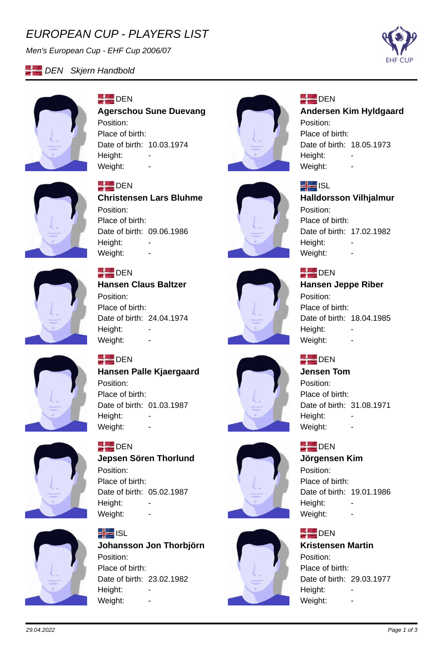# *EUROPEAN CUP - PLAYERS LIST*

*Men's European Cup - EHF Cup 2006/07*



#### **DEN** Skjern Handbold



#### **DEN Agerschou Sune Duevang** Position: Place of birth: Date of birth: 10.03.1974 Height: Weight:



## **DEN**

**ISL** 

Position:

Height:

Place of birth:

## **Andersen Kim Hyldgaard**

Position: Place of birth: Date of birth: 18.05.1973 Height: Weight:

**Halldorsson Vilhjalmur**

Date of birth: 17.02.1982



#### **DEN**

**Christensen Lars Bluhme** Position: Place of birth: Date of birth: 09.06.1986 Height: Weight: -



#### **DEN**

**Hansen Claus Baltzer** Position: Place of birth: Date of birth: 24.04.1974 Height: Weight: -



#### **DEN Hansen Jeppe Riber**

Weight: -

Position: Place of birth: Date of birth: 18.04.1985 Height: Weight: -

#### **DEN**

#### **Jensen Tom** Position: Place of birth:

Date of birth: 31.08.1971 Height: Weight: -

#### **DEN**

#### **Jörgensen Kim**

Position: Place of birth: Date of birth: 19.01.1986 Height: Weight: -

#### **DEN**

**Kristensen Martin** Position: Place of birth: Date of birth: 29.03.1977 Height: Weight:



## **DEN**

**Hansen Palle Kjaergaard** Position: Place of birth: Date of birth: 01.03.1987 Height: -Weight: -



# **DEN**

**Jepsen Sören Thorlund** Position: Place of birth: Date of birth: 05.02.1987 Height: Weight: -



#### **H**ISL **Johansson Jon Thorbjörn** Position: Place of birth: Date of birth: 23.02.1982 Height: Weight: -



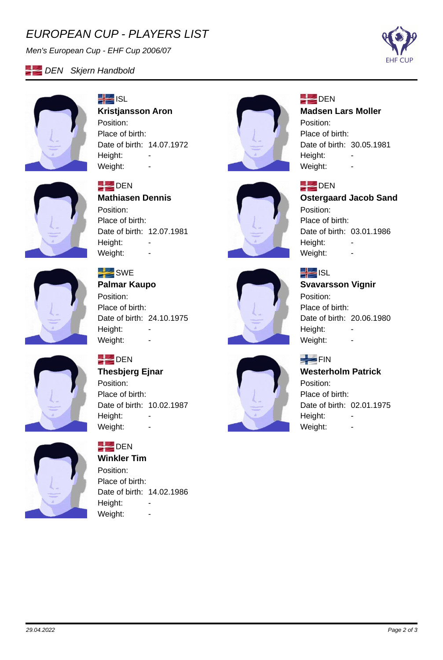# *EUROPEAN CUP - PLAYERS LIST*

*Men's European Cup - EHF Cup 2006/07*



#### **DEN** Skjern Handbold



# $\frac{1}{2}$  ISL **Kristjansson Aron**

Position: Place of birth: Date of birth: 14.07.1972 Height: -Weight: -



## **DEN**

**DEN** 

Position: Place of birth:

Height:

#### **Madsen Lars Moller**

Position: Place of birth: Date of birth: 30.05.1981 Height: Weight: -

**Ostergaard Jacob Sand**

Date of birth: 03.01.1986



#### **DEN**

**Mathiasen Dennis** Position: Place of birth: Date of birth: 12.07.1981 Height: Weight: -



## $SWE$

**Palmar Kaupo** Position: Place of birth: Date of birth: 24.10.1975 Height: Weight: -



# $\frac{1}{2}$  ISL

Weight: -

## **Svavarsson Vignir**

Position: Place of birth: Date of birth: 20.06.1980 Height: Weight: -

#### $F_N$

## **Westerholm Patrick** Position: Place of birth:

Date of birth: 02.01.1975 Height: -Weight: -



## **DEN**

**Thesbjerg Ejnar** Position: Place of birth: Date of birth: 10.02.1987 Height: -Weight: -



# **DEN**

**Winkler Tim** Position: Place of birth: Date of birth: 14.02.1986 Height: -Weight: -